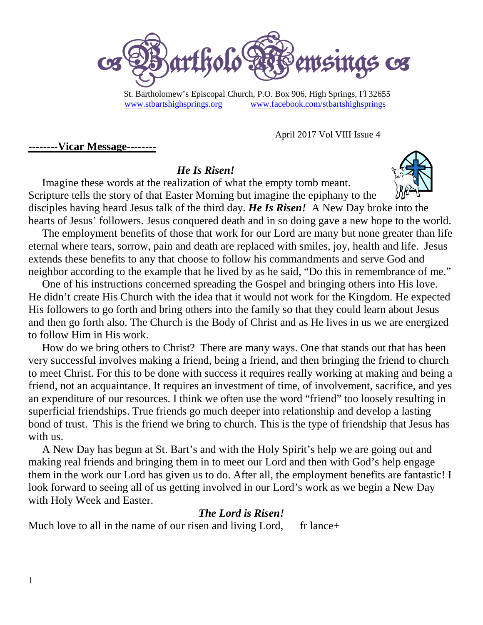

 St. Bartholomew's Episcopal Church, P.O. Box 906, High Springs, Fl 32655 www.stbartshighsprings.org www.facebook.com/stbartshighsprings

April 2017 Vol VIII Issue 4

**--------Vicar Message--------**

## *He Is Risen!*

Imagine these words at the realization of what the empty tomb meant. Scripture tells the story of that Easter Morning but imagine the epiphany to the disciples having heard Jesus talk of the third day. *He Is Risen!*A New Day broke into the hearts of Jesus' followers. Jesus conquered death and in so doing gave a new hope to the world.

 The employment benefits of those that work for our Lord are many but none greater than life eternal where tears, sorrow, pain and death are replaced with smiles, joy, health and life. Jesus extends these benefits to any that choose to follow his commandments and serve God and neighbor according to the example that he lived by as he said, "Do this in remembrance of me."

 One of his instructions concerned spreading the Gospel and bringing others into His love. He didn't create His Church with the idea that it would not work for the Kingdom. He expected His followers to go forth and bring others into the family so that they could learn about Jesus and then go forth also. The Church is the Body of Christ and as He lives in us we are energized to follow Him in His work.

 How do we bring others to Christ? There are many ways. One that stands out that has been very successful involves making a friend, being a friend, and then bringing the friend to church to meet Christ. For this to be done with success it requires really working at making and being a friend, not an acquaintance. It requires an investment of time, of involvement, sacrifice, and yes an expenditure of our resources. I think we often use the word "friend" too loosely resulting in superficial friendships. True friends go much deeper into relationship and develop a lasting bond of trust. This is the friend we bring to church. This is the type of friendship that Jesus has with us.

 A New Day has begun at St. Bart's and with the Holy Spirit's help we are going out and making real friends and bringing them in to meet our Lord and then with God's help engage them in the work our Lord has given us to do. After all, the employment benefits are fantastic! I look forward to seeing all of us getting involved in our Lord's work as we begin a New Day with Holy Week and Easter.

## *The Lord is Risen!*

Much love to all in the name of our risen and living Lord,  $\frac{1}{2}$  fr lance+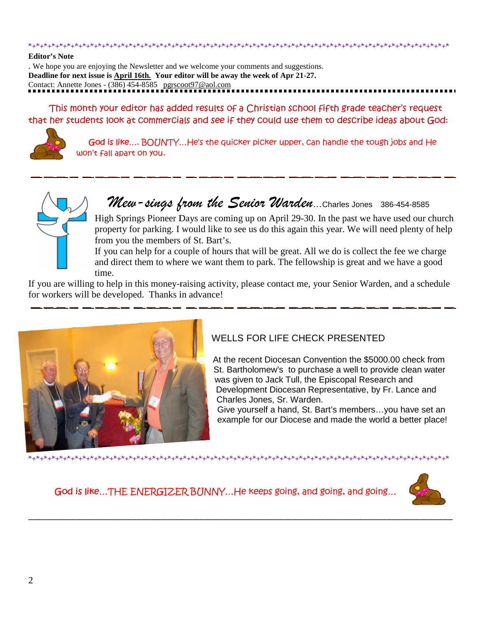#### **Editor's Note**

. We hope you are enjoying the Newsletter and we welcome your comments and suggestions. Deadline for next issue is **April 16th.** Your editor will be away the week of Apr 21-27. Contact: Annette Jones - (386) 454-8585 pgrscoot97@aol.com

 *This month your editor has added month your results of a Christian school fifth grade teacher's req request that her students look at commercials and see if they could use t commercials and see them to describe ideas about God hem God:* 

\*+\*+\*+\*+\*+\*+\*+\*+\*+\*+\*+\*+\*+\*+\*+\*+\*+\*+\*+\*+\*+\*+\*+\*+\*+\*+\*+\*+\*+\*+\*+\*+\*+\*+\*+\*+\*+\*+\*+\*+\*+\*+\*+\*+\*+\*+\*+\*+\*+\*+\*+\*+\*+\*+\*



God is like.... BOUNTY...He's the quicker picker upper, can handle the tough jobs and He won't fall apart on you.



Mew-sings from the Senior Warden...Charles Jones 386-454-8585

High Springs Pioneer Days are coming up on April 29-30. In the past we have used our church property for parking. I would like to see us do this again this year. We will need plenty of help from you the members of St. Bart's. from you the members of St. Bart

If you can help for a couple of hours that will be great. All we do is collect the fee we charge If you can help for a couple of hours that will be great. All we do is collect the fee we charge<br>and direct them to where we want them to park. The fellowship is great and we have a good time.

If you are willing to help in this money-raising activity, please contact me, your Senior Warden, and a schedule for workers will be developed. Thanks in advance!



\*+\*+\*+\*+\*+\*+\*+\*+\*+\*+\*+\*+\*+\*+\*+\*+\*+\*+\*+\*+\*+\*+\*+\*+\*+\*+\*+\*+\*+\*+\*+\*+\*+\*+\*+\*+\*+\*+\*+\*+\*+\*+\*+\*+\*+\*+\*+\*+\*+\*+\*+\*+\*+\*+\*

## WELLS FOR LIFE CHECK PRESENTED

At the recent Diocesan Convention the \$5000.00 check from St. Bartholomew's to purchase a well to provide clean water was given to Jack Tull, the Episcopal Research and Development Diocesan Representative, by Fr. Lance and Charles Jones, Sr. Warden. **ENERGIZER BUNNY…He can be a streamed and angle that is a streamed and we wenter that a streamed and we are a streamed and angle of the condition of the street of a Christian Space of the Christian Space of the condition o** 

Give yourself a hand, St. Bart's members...you have set an example for our Diocese and made the world a better place!

God is like*…THE ENERGIZER BUNNY…He keeps going, and going, and going…*

\_\_\_\_\_\_\_\_\_\_\_\_\_\_\_\_\_\_\_\_\_\_\_\_\_\_\_\_\_\_\_\_\_\_\_\_\_\_\_\_\_\_\_\_\_\_\_\_\_\_\_\_\_\_\_\_\_\_\_\_\_\_\_\_\_\_\_\_\_\_\_\_\_\_\_\_\_\_\_\_\_\_\_\_\_\_\_\_\_\_

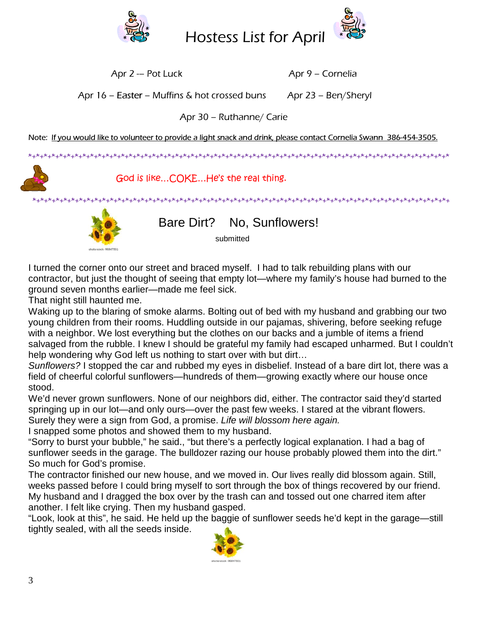



Apr 2 -– Pot Luck

Apr 9 – Cornelia

Apr 16 – Easter – Muffins & hot crossed buns Apr 23 – Ben/Sheryl Apr 23 - Ben/Sheryl

Apr 30 – Ruthanne/ Carie

Note: If you would like to volunteer to provide a light snack and drink, please contact Cornelia Swann 386-454-3505.

\*+\*+\*+\*+\*+\*+\*+\*+\*+\*+\*+\*+\*+\*+\*+\*+\*+\*+\*+\*+\*+\*+\*+\*+\*+\*+\*+\*+\*+\*+\*+\*+\*+\*+\*+\*+\*+\*+\*+\*+\*+\*+\*+\*+\*+\*+\*+\*+\*+\*+\*+\*+\*+\*+\* \*+\*+\*+\*+\*+\*+\*+\*+\*+\*+\*+\*+\*+\*+\*+\*+\*+\*+\*+\*+\*+\*+\*+\*+\*+\*+\*+\*+\*+\*+\*+\*+\*+\*+\*+\*+\*+\*



*God is like…COKE…He's the real thing. real thing.*

\*+\*+\*+\*+\*+\*+\*+\*+\*+\*+\*+\*+\*+\*+\*+\*+\*+\*+\*+\*+\*+\*+\*+\*+\*+\*+\*+\*+\*+\*+\*+\*+\*+\*+\*+\*+\*+\*+\*+\*+\*+\*+\*+\*+\*+\*+\*+\*+\*+\*+\*+\*+\*+\*+ \*+\*+\*+\*+\*+\*+\*+\*+\*+\*+\*+\*+\*+\*+\*+\*+\*+\*+\*+\*+\*+\*+\*+\*+\*+\*+\*+\*+\*+\*+\*+\*+\*+\*+\*+\*+\*+\*+\*+\*+\*+\*+\*+\*+\*+\*+\*+\*+\*+\*+\*+\*+\*+\*+



Bare Dirt? No, Sunflowers!

submitted

I turned the corner onto our street and braced myself. I had to talk rebuilding plans with our I turned the corner onto our street and braced myself. I had to talk rebuilding plans with our<br>contractor, but just the thought of seeing that empty lot—where my family's house had burned to the ground seven months earlier—made me feel sick.

That night still haunted me.

Waking up to the blaring of smoke alarms. Bolting out of bed with my husband and grabbing our two young children from their rooms. Huddling outside in our pajamas, shivering, before seeking refuge with a neighbor. We lost everything but the clothes on our backs and a jumble of items a friend salvaged from the rubble. I knew I should be grateful my family had escaped unharmed. But I couldn't help wondering why God left us nothing to start over with but dirt… Waking up to the blaring of smoke alarms. Bolting out of bed with my husband and grabbing ou<br>young children from their rooms. Huddling outside in our pajamas, shivering, before seeking ref<br>with a neighbor. We lost everythi is that empty lot—where my family's house had burned to<br>the feel sick.<br>
Ins. Bolting out of bed with my husband and grabbing our to<br>
Ing outside in our pajamas, shivering, before seeking refug<br>
the clothes on our backs and

Sunflowers? I stopped the car and rubbed my eyes in disbelief. Instead of a bare dirt lot, there was a field of cheerful colorful sunflowers—hundreds of them—growing exactly where our house once stood. he rubble. I knew I should be grateful my family had escaped unharmed. But I co<br>why God left us nothing to start over with but dirt...<br>topped the car and rubbed my eyes in disbelief. Instead of a bare dirt lot, there w<br>col

We'd never grown sunflowers. None of our neighbors did, either. The contractor said they'd started springing up in our lot—and only ours—over the past few weeks. I stared at the vibrant flowers. Surely they were a sign from God, a promise. Life will blossom here again.

I snapped some photos and showed them to my husband.

"Sorry to burst your bubble," he said., "but there's a perfectly logical explanation. I had a bag of sunflower seeds in the garage. The bulldozer razing our house probably plowed them into the dirt." So much for God's promise. orry to burst your bubble," he said., "but there's a perfectly logical explanation. I had a bag of<br>nflower seeds in the garage. The bulldozer razing our house probably plowed them into the dirt."<br>o much for God's promise.<br>

The contractor finished our new house, and we moved in. Our lives really did blossom again. Still, weeks passed before I could bring myself to sort through the box of things recovered by our friend. My husband and I dragged the box over by the trash can and tossed out one charred item a another. I felt like crying. Then my husband gasped.

another. I felt like crying. Then my husband gasped.<br>"Look, look at this", he said. He held up the baggie of sunflower seeds he'd kept in the garage—still tightly sealed, with all the seeds inside.

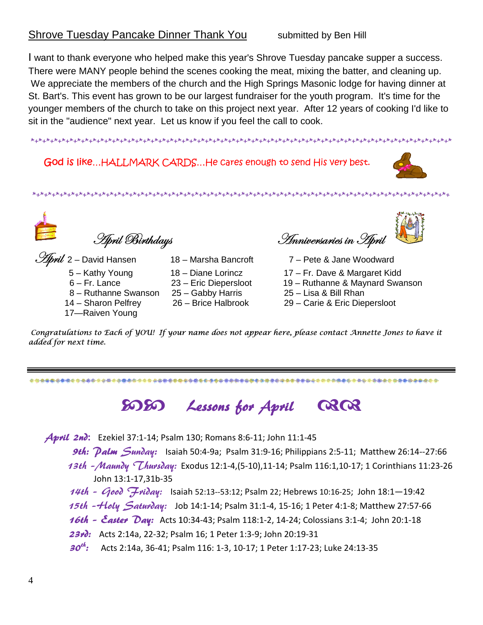#### Shrove Tuesday Pancake Dinner Thank You submitted by Ben Hil submitted by Ben Hill

I want to thank everyone who helped make this year's Shrove Tuesday pancake supper a success. There were MANY people behind the scenes cooking the meat, mixing the batter, and cleaning up. Fhere were MANY people behind the scenes cooking the meat, mixing the batter, and cleaning up.<br>We appreciate the members of the church and the High Springs Masonic lodge for having dinner at St. Bart's. This event has grown to be our largest fundraiser for the youth program. It's time for the younger members of the church to take on this project next year. After 12 years of cooking I'd like to sit in the "audience" next year. Let us know if you feel the call to cook.

\*+\*+\*+\*+\*+\*+\*+\*+\*+\*+\*+\*+\*+\*+\*+\*+\*+\*+\*+\*+\*+\*+\*+\*+\*+\*+\*+\*+\*+\*+\*+\*+\*+\*+\*+\*+\*+\*+\*+\*+\*+\*+\*+\*+\*+\*+\*+\*+\*+\*+\*+\*+\*+\*+\*

\*+\*+\*+\*+\*+\*+\*+\*+\*+\*+\*+\*+\*+\*+\*+\*+\*+\*+\*+\*+\*+\*+\*+\*+\*+\*+\*+\*+\*+\*+\*+\*+\*+\*+\*+\*+\*+\*+\*+\*+\*+\*+\*+\*+\*+\*+\*+\*+\*+\*+\*+\*+\*+\*+ \*+\*+\*+\*+\*+\*+\*+\*+\*+\*+\*+\*+\*+\*+\*+\*+\*+\*+\*+\*+\*+\*+\*+\*+\*+\*+\*+\*+\*+\*+\*+\*+\*+\*+\*+\*+\*+\*+\*+\*+\*+\*+\*+\*+\*+\*+\*+\*+\*+\*+\*+\*+\*+\*+\*+\*+\*+\*+\*+\*+\*+\*+\*+\*+\*+\*+\*+\*+\*+\*+

God is like*…HALLMARK CARDS…He cares enough to send His very best. …HALLMARK CARDS…He* 



**Horil Birthdays**  $\mathscr{F}$ i $\mathscr{F}'$  2 – David Hansen 18 – Marsha Bancroft 5 – Kathy Young 18 – Diane Lorincz – Marsha Bancroft 7 – Pete & Jane Woodward Woodward – Diane Lorincz 17 – Fr. Dave & Margaret Kidd Dave & uthanne & Maynard

- 
- 
- 17—Raiven Young
- 6 Fr. Lance 23 Eric Diepersloot
	-

14 – Sharon Pelfrey 26 – Brice Halbrook



- 
- 
- 19 Ruthanne & Maynard Swanson
- 8 Ruthanne Swanson 25 Ruthanne 25 Gabby Harris 25 Lisa & Bill Rhan
	- 29 Carie & Eric Diepersloot

Congratulations to Each of YOU! If your name does not appear here, please contact Annette Jones to have it added for next time.

**80.800** Lessons for April <u>ക്കു</u>

April 2nd: Ezekiel 37:1-14; Psalm 130; Romans 8:6-11; John 11:1-45

9th: Palm Sunday: Isaiah 50:4-9a; Psalm 31:9-16; Philippians 2:5-11; Matthew 26:14--27:66

- 13th  *Maundy <sup>-</sup> Thursday*: Exodus 12:1-4,(5-10),11-14; Psalm 116:1,10-17; 1 Corinthians 11:23-26 John 13:1-17,31b-35
- 14th Good Friday: Isaiah 52:13--53:12; Psalm 22; Hebrews 10:16-25; John 18:1—19:42
- 15th Holy Saturday: Job 14:1-14; Psalm 31:1-4, 15-16; 1 Peter 4:1-8; Matthew 27:57-66
- 16th Easter Day: Acts 10:34-43; Psalm 118:1-2, 14-24; Colossians 3:1-4; John 20:1-18
- 23rd: Acts 2:14a, 22-32; Psalm 16; 1 Peter 1:3-9; John 20:19-31
- $30^{th}$ : Acts 2:14a, 36-41; Psalm 116: 1-3, 10-17; 1 Peter 1:17-23; Luke 24:13-35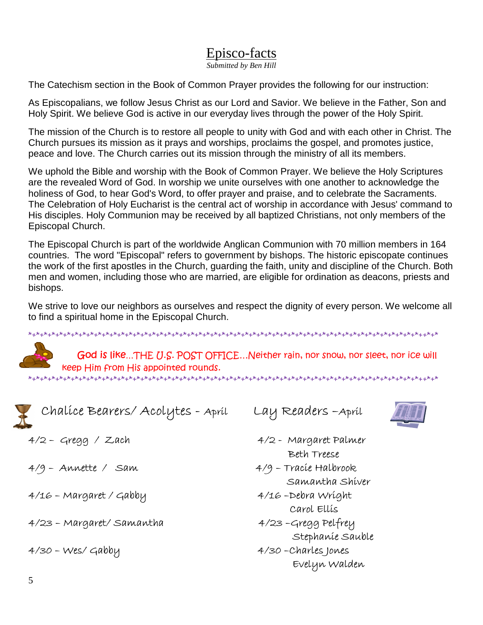## Episco-facts

*Submitted by Ben Hill* 

The Catechism section in the Book of Common Prayer provides the following for our instruction:

As Episcopalians, we follow Jesus Christ as our Lord and Savior. We believe in the Father, Son and Holy Spirit. We believe God is active in our everyday lives through the power of the Holy Spirit.

The mission of the Church is to restore all people to unity with God and with each other in Christ. The Church pursues its mission as it prays and worships, proclaims the gospel, and promotes justice, peace and love. The Church carries out its mission through the ministry of all its members. Episcopalians, we follow Jesus Christ as our Lord and Savior. We believe in the Father<br>y Spirit. We believe God is active in our everyday lives through the power of the Holy S<br>e mission of the Church is to restore all peop

We uphold the Bible and worship with the Book of Common Prayer. We believe the Holy Scriptures are the revealed Word of God. In worship we unite ourselves with one another to acknowledge the holiness of God, to hear God's Word, to offer prayer and praise, and to celebrate the Sacraments. The Celebration of Holy Eucharist is the central act of worship in accordance with Jesus' command to His disciples. Holy Communion may be received by all baptized Christians, not only members of the Episcopal Church. uphold the Bible and worship with the Book of Common Prayer. We believe the Holy Scriptures<br>the revealed Word of God. In worship we unite ourselves with one another to acknowledge the<br>ness of God, to hear God's Word, to of ough the ministry of all its members.<br>
nmon Prayer. We believe the Holy Scriptures<br>
selves with one another to acknowledge the<br>
nd praise, and to celebrate the Sacraments.<br>
worship in accordance with Jesus' command to<br>
l b

The Episcopal Church is part of the worldwide Anglican Communion with 70 million members in 164 countries. The word "Episcopal" refers to government by bishops. The historic episcopate continues the work of the first apostles in the Church, guarding the faith, unity and discipline of the Church. Both men and women, including those who are married, are eligible for ordination as deacons, priests and bishops.

We strive to love our neighbors as ourselves and respect the dignity of every person. We welcome all to find a spiritual home in the Episcopal Church.

\*+\*+\*+\*+\*+\*+\*+\*+\*+\*+\*+\*+\*+\*+\*+\*+\*+\*+\*+\*+\*+\*+\*+\*+\*+\*+\*+\*+\*+\*+\*+\*+\*+\*+\*+\*+\*+\*+\*+\*+\*+\*+\*+\*+\*+\*+\*+\*+\*+\*+\*++\*+\*

God is like...THE U.S. POST OFFICE...Neither rain, nor snow, nor sleet, nor ice will *keep Him from His appointed rounds. keep* \*+\*+\*+\*+\*+\*+\*+\*+\*+\*+\*+\*+\*+\*+\*+\*+\*+\*+\*+\*+\*+\*+\*+\*+\*+\*+\*+\*+\*+\*+\*+\*+\*+\*+\*+\*+\*+\*+\*+\*+\*+\*+\*+\*+\*+\*+\*+\*+\*+\*+\*++\*+\*

|  | Chalice Bearers/Acolytes - Apri |  |
|--|---------------------------------|--|
|--|---------------------------------|--|

colytes - April Lay Readers –April April



- 4/2 Gregg / Zach
- 4/9 Annette / Sam
- 4/16 Margaret / Gabby
- 4/23 Margaret/ Samantha
- 4/30 Wes/ Gabby
- 4/2 Margaret Palmer Palmer Beth Treese 4/9 – Tracie Halbrook Samantha Shiver 4/16 –Debra Wright Carol Ellis 4/23 –Gregg Pelfrey Stephanie Sauble 4/30 –Charles Jones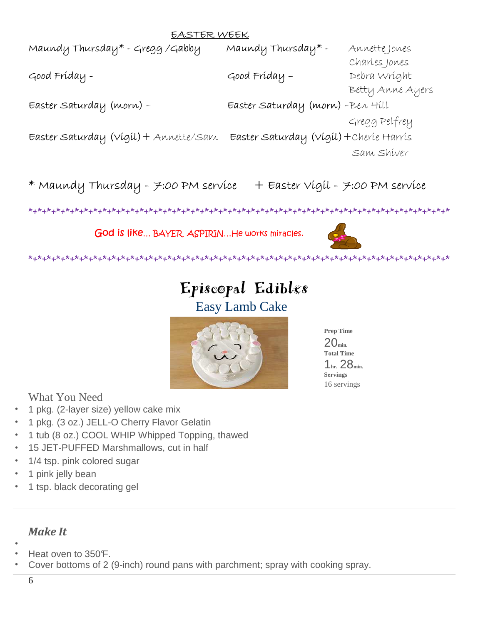### EASTER WEEK



 $\hspace{.1cm} *$  Maundy Thursday – 7:00 PM service  $\hspace{.1cm} +$  Easter Vigil – 7:00 PM service

\*+\*+\*+\*+\*+\*+\*+\*+\*+\*+\*+\*+\*+\*+\*+\*+\*+\*+\*+\*+\*+\*+\*+\*+\*+\*+\*+\*+\*+\*+\*+\*+\*+\*+\*+\*+\*+\*+\*+\*+\*+\*+\*+\*+\*+\* \*+\*+\*+\*+\*+\*+\*+\*+\*+\*+\*+\*+\*+\*+\*+\*+\*+\*+\*+\*+\*+\*+\*+\*+\*+\*+\*+\*+\*+\*+\*+\*+\*+\*+\*+\*+\*+\*+\*+\*+\*

God is like… BAYER ASPIRIN…He works miracles.



# Episcopal Edibles EdiblesEasy Lamb Cake



**Prep Time** 20**min. Total Time**  1**hr.** 28**min. min. Servings**  16 servings

What You Need

- 1 pkg. (2-layer size) yellow cake mix
- 1 pkg. (2-layer size) yellow cake mix<br>• 1 pkg. (3 oz.) JELL-O Cherry Flavor Gelatin
- 1 tub (8 oz.) COOL WHIP Whipped Topping, thawed
- 15 JET-PUFFED Marshmallows, cut in half
- 1/4 tsp. pink colored sugar
- 1 pink jelly bean
- 1 tsp. black decorating gel

## Make It

- Heat oven to 350 F.
- Cover bottoms of 2 (9-inch) round pans with parchment; spray with cooking spray.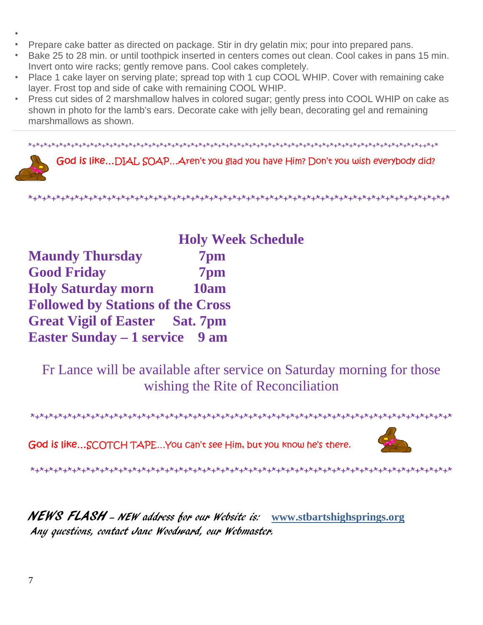- Prepare cake batter as directed on package. Stir in dry gelatin mix; pour into prepared pans.
- Bake 25 to 28 min. or until toothpick inserted in centers comes out clean. Cool cakes in pans 15 min. Invert onto wire racks; gently remove pans. Cool cakes completely. Prepare cake batter as directed on package. Stir in dry gelatin mix; pour into prepared pans.<br>Bake 25 to 28 min. or until toothpick inserted in centers comes out clean. Cool cakes in pans 15 min<br>Invert onto wire racks; gen
- Place 1 cake layer on serving plate; spread top with 1 cup COOL WHIP. Cover with remaining cake layer. Frost top and side of cake with remaining COOL WHIP.
- layer. Frost top and side of cake with remaining COOL WHIP.<br>• Press cut sides of 2 marshmallow halves in colored sugar; gently press into COOL WHIP on cake as shown in photo for the lamb's ears. Decorate cake with jelly bean, decorating gel and remaining marshmallows as shown.



\*+\*+\*+\*+\*+\*+\*+\*+\*+\*+\*+\*+\*+\*+\*+\*+\*+\*+\*+\*+\*+\*+\*+\*+\*+\*+\*+\*+\*+\*+\*+\*+\*+\*+\*+\*+\*+\*+\*+\*+\*+\*+\*+\*+\*+\* \*+\*+\*+\*+\*+\*+\*+\*+\*+\*+\*+\*+\*+\*+\*+\*+\*+\*+\*+\*+\*+\*+\*+\*+\*+\*+\*+\*+\*+\*+\*+\*+\*+\*+\*+\*+\*+\*+\*+\*+\*

|                                          | <b>Holy Week Schedule</b> |  |  |
|------------------------------------------|---------------------------|--|--|
| <b>Maundy Thursday</b>                   | 7pm                       |  |  |
| <b>Good Friday</b>                       | 7 <sub>pm</sub>           |  |  |
| <b>Holy Saturday morn</b>                | 10am                      |  |  |
| <b>Followed by Stations of the Cross</b> |                           |  |  |
| <b>Great Vigil of Easter Sat. 7pm</b>    |                           |  |  |
| <b>Easter Sunday – 1 service</b> 9 am    |                           |  |  |

Fr Lance will be available after service on Saturday morning for those wishing the Rite of Reconciliation

\*+\*+\*+\*+\*+\*+\*+\*+\*+\*+\*+\*+\*+\*+\*+\*+\*+\*+\*+\*+\*+\*+\*+\*+\*+\*+\*+\*+\*+\*+\*+\*+\*+\*+\*+\*+\*+\*+\*+\*+\*+\*+\*+\*+\*+\* \*+\*+\*+\*+\*+\*+\*+\*+\*+\*+\*+\*+\*+\*+\*+\*+\*+\*+\*+\*+\*+\*+\*+\*+\*+\*+\*+\*+\*+\*+\*+\*+\*+\*+\*+\*+\*+\*+\*+\*+\*

God is like...SCOTCH TAPE...You can't see Him, but you know he's there.



\*+\*+\*+\*+\*+\*+\*+\*+\*+\*+\*+\*+\*+\*+\*+\*+\*+\*+\*+\*+\*+\*+\*+\*+\*+\*+\*+\*+\*+\*+\*+\*+\*+\*+\*+\*+\*+\*+\*+\*+\*+\*+\*+\*+\*+\* \*+\*+\*+\*+\*+\*+\*+\*+\*+\*+\*+\*+\*+\*+\*+\*+\*+\*+\*+\*+\*+\*+\*+\*+\*+\*+\*+\*+\*+\*+\*+\*+\*+\*+\*+\*+\*+\*+\*+\*+\*

NEWS FLASH – *NEW address for our Website is: Website* **www.stbartshighsprings.org** *Any questions, contact Jane Woodward Any Woodward, our Webmaster.* 

•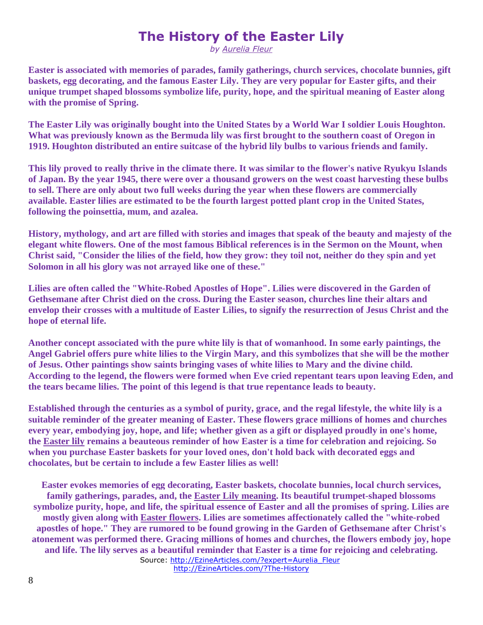## The History of the Easter Lily

by Aurelia Fleur

**Easter is associated with memories of parades, family gatherings, church services, chocolate bunnies, gift baskets, egg decorating, and the famous Easter Lily. They are very popular for Easter gifts, and their unique trumpet shaped blossoms symbolize life, purity, hope, and the spiritual meaning of Easter along with the promise of Spring.** 

**The Easter Lily was originally bought into the United States by a World War I soldier Louis Houghton. What was previously known as the Bermuda lily was first brought to the southern coast of Oregon in 1919. Houghton distributed an entire suitcase of the hybrid lily bulbs to various friends and family.** 

**This lily proved to really thrive in the climate there. It was similar to the flower's native Ryukyu Islands of Japan. By the year 1945, there were over a thousand growers on the west coast harvesting these bulbs to sell. There are only about two full weeks during the year when these flowers are commercially available. Easter lilies are estimated to be the fourth largest potted plant crop in the United States, following the poinsettia, mum, and azalea.** 

**History, mythology, and art are filled with stories and images that speak of the beauty and majesty of the elegant white flowers. One of the most famous Biblical references is in the Sermon on the Mount, when Christ said, "Consider the lilies of the field, how they grow: they toil not, neither do they spin and yet Solomon in all his glory was not arrayed like one of these."** 

**Lilies are often called the "White-Robed Apostles of Hope". Lilies were discovered in the Garden of Gethsemane after Christ died on the cross. During the Easter season, churches line their altars and envelop their crosses with a multitude of Easter Lilies, to signify the resurrection of Jesus Christ and the hope of eternal life.** 

**Another concept associated with the pure white lily is that of womanhood. In some early paintings, the Angel Gabriel offers pure white lilies to the Virgin Mary, and this symbolizes that she will be the mother of Jesus. Other paintings show saints bringing vases of white lilies to Mary and the divine child. According to the legend, the flowers were formed when Eve cried repentant tears upon leaving Eden, and the tears became lilies. The point of this legend is that true repentance leads to beauty.** 

**Established through the centuries as a symbol of purity, grace, and the regal lifestyle, the white lily is a suitable reminder of the greater meaning of Easter. These flowers grace millions of homes and churches every year, embodying joy, hope, and life; whether given as a gift or displayed proudly in one's home, the Easter lily remains a beauteous reminder of how Easter is a time for celebration and rejoicing. So when you purchase Easter baskets for your loved ones, don't hold back with decorated eggs and chocolates, but be certain to include a few Easter lilies as well!** 

**Easter evokes memories of egg decorating, Easter baskets, chocolate bunnies, local church services, family gatherings, parades, and, the Easter Lily meaning. Its beautiful trumpet-shaped blossoms symbolize purity, hope, and life, the spiritual essence of Easter and all the promises of spring. Lilies are mostly given along with Easter flowers. Lilies are sometimes affectionately called the "white-robed apostles of hope." They are rumored to be found growing in the Garden of Gethsemane after Christ's atonement was performed there. Gracing millions of homes and churches, the flowers embody joy, hope and life. The lily serves as a beautiful reminder that Easter is a time for rejoicing and celebrating.** Source: http://EzineArticles.com/?expert=Aurelia\_Fleur

http://EzineArticles.com/?The-History